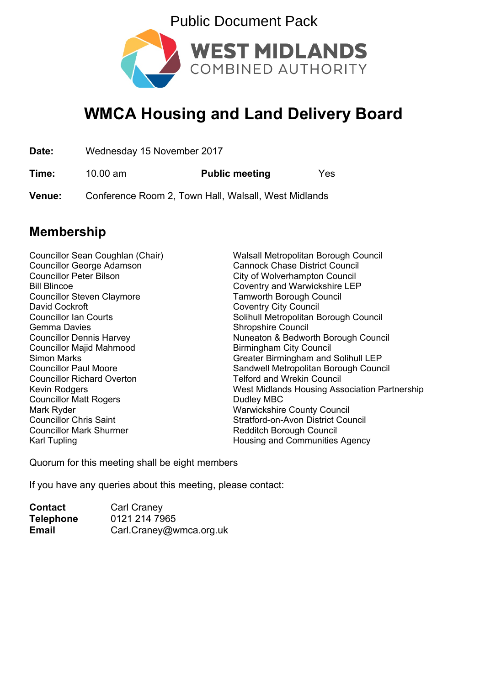



## **WMCA Housing and Land Delivery Board**

| Date:         | Wednesday 15 November 2017                           |                       |     |
|---------------|------------------------------------------------------|-----------------------|-----|
| Time:         | $10.00 \text{ am}$                                   | <b>Public meeting</b> | Yes |
| <b>Venue:</b> | Conference Room 2, Town Hall, Walsall, West Midlands |                       |     |

### **Membership**

Councillor George Adamson Cannock Chase District Council Councillor Peter Bilson City of Wolverhampton Council Bill Blincoe Coventry and Warwickshire LEP Councillor Steven Claymore<br>
David Cockroft<br>
David Cockroft<br>
Coventry City Council Gemma Davies Shropshire Council Councillor Majid Mahmood Birmingham City Council Councillor Richard Overton Telford and Wrekin Council Councillor Matt Rogers **Dudley MBC** Mark Ryder Warwickshire County Council Councillor Chris Saint Stratford-on-Avon District Council Councillor Mark Shurmer The Redditch Borough Council Karl Tupling **Housing and Communities Agency** 

Councillor Sean Coughlan (Chair) Walsall Metropolitan Borough Council **Coventry City Council** Councillor Ian Courts **Solinull Metropolitan Borough Council** Councillor Dennis Harvey **Nuneaton & Bedworth Borough Council** Simon Marks Greater Birmingham and Solihull LEP Councillor Paul Moore Sandwell Metropolitan Borough Council Kevin Rodgers **West Midlands Housing Association Partnership** 

Quorum for this meeting shall be eight members

If you have any queries about this meeting, please contact:

| <b>Contact</b>   | <b>Carl Craney</b>      |
|------------------|-------------------------|
| <b>Telephone</b> | 0121 214 7965           |
| <b>Email</b>     | Carl.Craney@wmca.org.uk |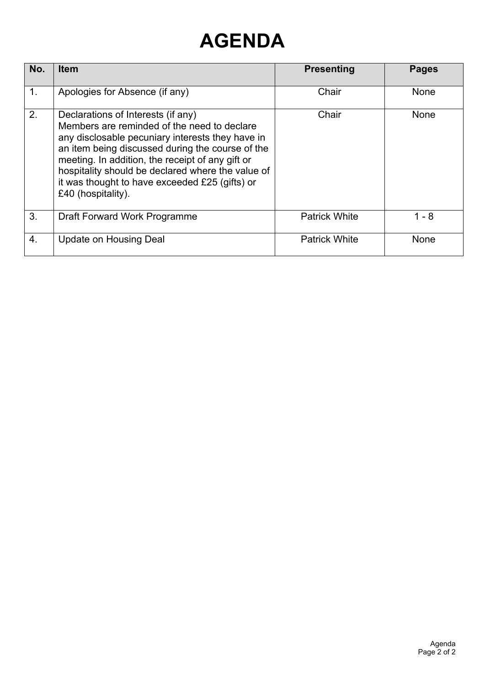# **AGENDA**

| No.           | <b>Item</b>                                                                                                                                                                                                                                                                                                                                                                | <b>Presenting</b>    | <b>Pages</b> |
|---------------|----------------------------------------------------------------------------------------------------------------------------------------------------------------------------------------------------------------------------------------------------------------------------------------------------------------------------------------------------------------------------|----------------------|--------------|
| $\mathbf 1$ . | Apologies for Absence (if any)                                                                                                                                                                                                                                                                                                                                             | Chair                | <b>None</b>  |
| 2.            | Declarations of Interests (if any)<br>Members are reminded of the need to declare<br>any disclosable pecuniary interests they have in<br>an item being discussed during the course of the<br>meeting. In addition, the receipt of any gift or<br>hospitality should be declared where the value of<br>it was thought to have exceeded £25 (gifts) or<br>£40 (hospitality). | Chair                | <b>None</b>  |
| 3.            | Draft Forward Work Programme                                                                                                                                                                                                                                                                                                                                               | <b>Patrick White</b> | $1 - 8$      |
| 4.            | Update on Housing Deal                                                                                                                                                                                                                                                                                                                                                     | <b>Patrick White</b> | <b>None</b>  |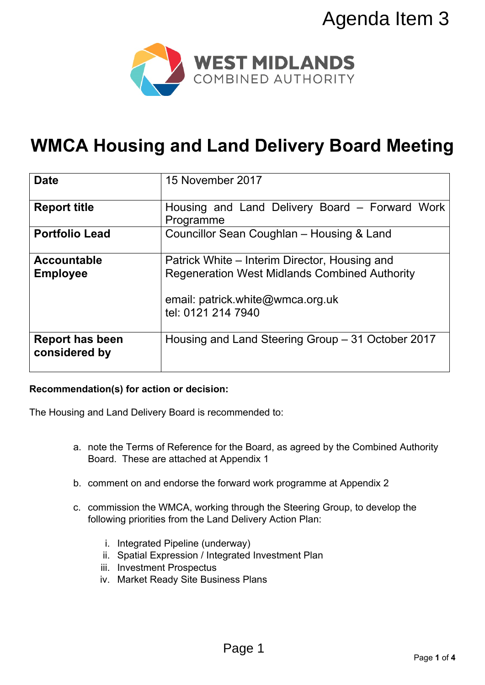

# **WMCA Housing and Land Delivery Board Meeting**

|                                                                                            | Agenda Item 3                                                                                                                          |  |  |  |  |
|--------------------------------------------------------------------------------------------|----------------------------------------------------------------------------------------------------------------------------------------|--|--|--|--|
| WEST MIDLANDS<br>COMBINED AUTHORITY<br><b>WMCA Housing and Land Delivery Board Meeting</b> |                                                                                                                                        |  |  |  |  |
|                                                                                            |                                                                                                                                        |  |  |  |  |
| <b>Date</b>                                                                                | 15 November 2017                                                                                                                       |  |  |  |  |
| <b>Report title</b>                                                                        | Housing and Land Delivery Board - Forward Work<br>Programme                                                                            |  |  |  |  |
| <b>Portfolio Lead</b>                                                                      | Councillor Sean Coughlan - Housing & Land                                                                                              |  |  |  |  |
| <b>Accountable</b><br><b>Employee</b>                                                      | Patrick White – Interim Director, Housing and<br><b>Regeneration West Midlands Combined Authority</b>                                  |  |  |  |  |
|                                                                                            | email: patrick.white@wmca.org.uk<br>tel: 0121 214 7940                                                                                 |  |  |  |  |
| <b>Report has been</b><br>considered by                                                    | Housing and Land Steering Group – 31 October 2017                                                                                      |  |  |  |  |
| Recommendation(s) for action or decision:                                                  |                                                                                                                                        |  |  |  |  |
| The Housing and Land Delivery Board is recommended to:                                     |                                                                                                                                        |  |  |  |  |
|                                                                                            | a. note the Terms of Reference for the Board, as agreed by the Combined Authority<br>Board. These are attached at Appendix 1           |  |  |  |  |
|                                                                                            | b. comment on and endorse the forward work programme at Appendix 2                                                                     |  |  |  |  |
|                                                                                            | c. commission the WMCA, working through the Steering Group, to develop the<br>following priorities from the Land Delivery Action Plan: |  |  |  |  |
| iii. Investment Prospectus                                                                 | i. Integrated Pipeline (underway)<br>ii. Spatial Expression / Integrated Investment Plan<br>iv. Market Ready Site Business Plans       |  |  |  |  |
|                                                                                            |                                                                                                                                        |  |  |  |  |
|                                                                                            | Page 1                                                                                                                                 |  |  |  |  |

#### **Recommendation(s) for action or decision:**

- a. note the Terms of Reference for the Board, as agreed by the Combined Authority Board. These are attached at Appendix 1
- b. comment on and endorse the forward work programme at Appendix 2
- c. commission the WMCA, working through the Steering Group, to develop the following priorities from the Land Delivery Action Plan:
	- i. Integrated Pipeline (underway)
	- ii. Spatial Expression / Integrated Investment Plan
	- iii. Investment Prospectus
	- iv. Market Ready Site Business Plans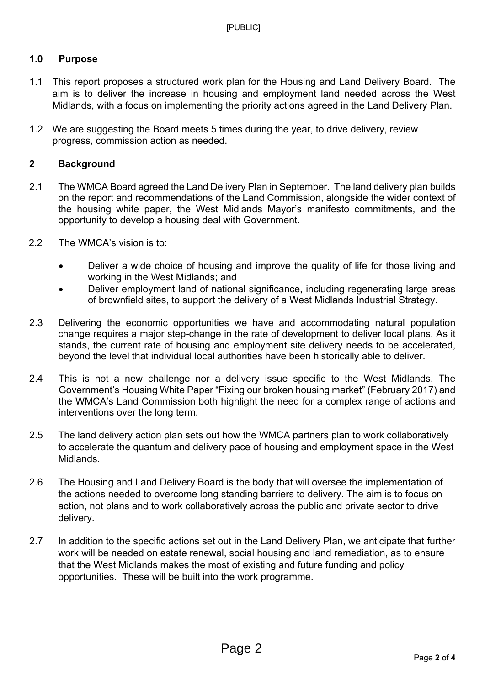#### **1.0 Purpose**

- 1.1 This report proposes a structured work plan for the Housing and Land Delivery Board. The aim is to deliver the increase in housing and employment land needed across the West Midlands, with a focus on implementing the priority actions agreed in the Land Delivery Plan.
- 1.2 We are suggesting the Board meets 5 times during the year, to drive delivery, review progress, commission action as needed.

#### **2 Background**

- 2.1 The WMCA Board agreed the Land Delivery Plan in September. The land delivery plan builds on the report and recommendations of the Land Commission, alongside the wider context of the housing white paper, the West Midlands Mayor's manifesto commitments, and the opportunity to develop a housing deal with Government.
- 2.2 The WMCA's vision is to:
	- Deliver a wide choice of housing and improve the quality of life for those living and working in the West Midlands; and
	- Deliver employment land of national significance, including regenerating large areas of brownfield sites, to support the delivery of a West Midlands Industrial Strategy.
- 2.3 Delivering the economic opportunities we have and accommodating natural population change requires a major step-change in the rate of development to deliver local plans. As it stands, the current rate of housing and employment site delivery needs to be accelerated, beyond the level that individual local authorities have been historically able to deliver.
- 2.4 This is not a new challenge nor a delivery issue specific to the West Midlands. The Government's Housing White Paper "Fixing our broken housing market" (February 2017) and the WMCA's Land Commission both highlight the need for a complex range of actions and interventions over the long term.
- 2.5 The land delivery action plan sets out how the WMCA partners plan to work collaboratively to accelerate the quantum and delivery pace of housing and employment space in the West Midlands.
- 2.6 The Housing and Land Delivery Board is the body that will oversee the implementation of the actions needed to overcome long standing barriers to delivery. The aim is to focus on action, not plans and to work collaboratively across the public and private sector to drive delivery.
- 2.7 In addition to the specific actions set out in the Land Delivery Plan, we anticipate that further work will be needed on estate renewal, social housing and land remediation, as to ensure that the West Midlands makes the most of existing and future funding and policy opportunities. These will be built into the work programme.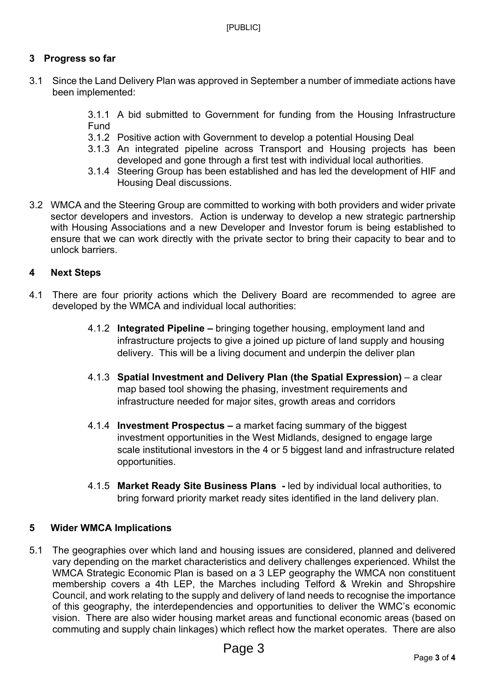#### **3 Progress so far**

- 3.1 Since the Land Delivery Plan was approved in September a number of immediate actions have been implemented:
	- 3.1.1 A bid submitted to Government for funding from the Housing Infrastructure Fund
	- 3.1.2 Positive action with Government to develop a potential Housing Deal
	- 3.1.3 An integrated pipeline across Transport and Housing projects has been developed and gone through a first test with individual local authorities.
	- 3.1.4 Steering Group has been established and has led the development of HIF and Housing Deal discussions.
- 3.2 WMCA and the Steering Group are committed to working with both providers and wider private sector developers and investors. Action is underway to develop a new strategic partnership with Housing Associations and a new Developer and Investor forum is being established to ensure that we can work directly with the private sector to bring their capacity to bear and to unlock barriers.

#### **4 Next Steps**

- 4.1 There are four priority actions which the Delivery Board are recommended to agree are developed by the WMCA and individual local authorities:
	- 4.1.2 **Integrated Pipeline –** bringing together housing, employment land and infrastructure projects to give a joined up picture of land supply and housing delivery. This will be a living document and underpin the deliver plan
	- 4.1.3 **Spatial Investment and Delivery Plan (the Spatial Expression)** a clear map based tool showing the phasing, investment requirements and infrastructure needed for major sites, growth areas and corridors
	- 4.1.4 **Investment Prospectus –** a market facing summary of the biggest investment opportunities in the West Midlands, designed to engage large scale institutional investors in the 4 or 5 biggest land and infrastructure related opportunities.
	- 4.1.5 **Market Ready Site Business Plans -** led by individual local authorities, to bring forward priority market ready sites identified in the land delivery plan.

#### **5 Wider WMCA Implications**

5.1 The geographies over which land and housing issues are considered, planned and delivered vary depending on the market characteristics and delivery challenges experienced. Whilst the WMCA Strategic Economic Plan is based on a 3 LEP geography the WMCA non constituent membership covers a 4th LEP, the Marches including Telford & Wrekin and Shropshire Council, and work relating to the supply and delivery of land needs to recognise the importance of this geography, the interdependencies and opportunities to deliver the WMC's economic vision. There are also wider housing market areas and functional economic areas (based on commuting and supply chain linkages) which reflect how the market operates. There are also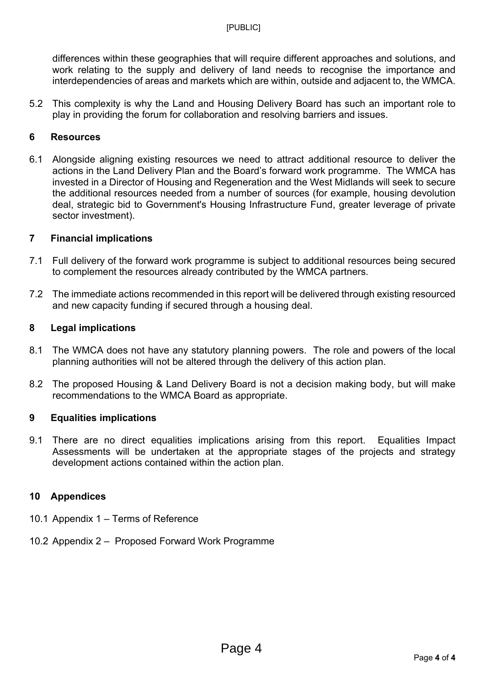differences within these geographies that will require different approaches and solutions, and work relating to the supply and delivery of land needs to recognise the importance and interdependencies of areas and markets which are within, outside and adjacent to, the WMCA.

5.2 This complexity is why the Land and Housing Delivery Board has such an important role to play in providing the forum for collaboration and resolving barriers and issues.

#### **6 Resources**

6.1 Alongside aligning existing resources we need to attract additional resource to deliver the actions in the Land Delivery Plan and the Board's forward work programme. The WMCA has invested in a Director of Housing and Regeneration and the West Midlands will seek to secure the additional resources needed from a number of sources (for example, housing devolution deal, strategic bid to Government's Housing Infrastructure Fund, greater leverage of private sector investment).

#### **7 Financial implications**

- 7.1 Full delivery of the forward work programme is subject to additional resources being secured to complement the resources already contributed by the WMCA partners.
- 7.2 The immediate actions recommended in this report will be delivered through existing resourced and new capacity funding if secured through a housing deal.

#### **8 Legal implications**

- 8.1 The WMCA does not have any statutory planning powers. The role and powers of the local planning authorities will not be altered through the delivery of this action plan.
- 8.2 The proposed Housing & Land Delivery Board is not a decision making body, but will make recommendations to the WMCA Board as appropriate.

#### **9 Equalities implications**

9.1 There are no direct equalities implications arising from this report. Equalities Impact Assessments will be undertaken at the appropriate stages of the projects and strategy development actions contained within the action plan.

#### **10 Appendices**

- 10.1 Appendix 1 Terms of Reference
- 10.2 Appendix 2 Proposed Forward Work Programme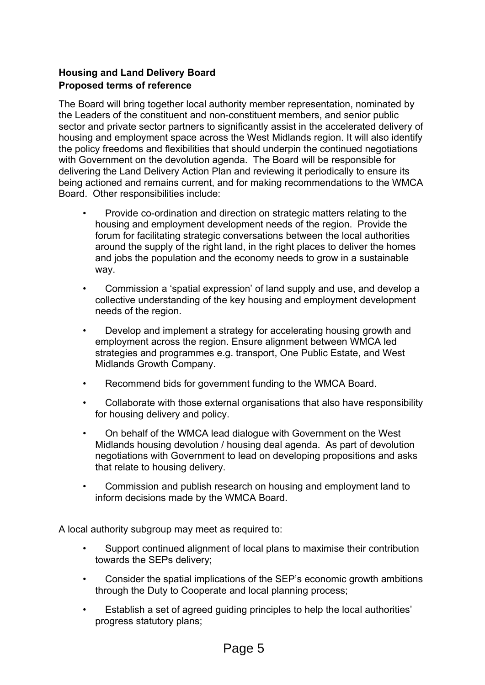#### **Housing and Land Delivery Board Proposed terms of reference**

The Board will bring together local authority member representation, nominated by the Leaders of the constituent and non-constituent members, and senior public sector and private sector partners to significantly assist in the accelerated delivery of housing and employment space across the West Midlands region. It will also identify the policy freedoms and flexibilities that should underpin the continued negotiations with Government on the devolution agenda. The Board will be responsible for delivering the Land Delivery Action Plan and reviewing it periodically to ensure its being actioned and remains current, and for making recommendations to the WMCA Board. Other responsibilities include:

- Provide co-ordination and direction on strategic matters relating to the housing and employment development needs of the region. Provide the forum for facilitating strategic conversations between the local authorities around the supply of the right land, in the right places to deliver the homes and jobs the population and the economy needs to grow in a sustainable way.
- Commission a 'spatial expression' of land supply and use, and develop a collective understanding of the key housing and employment development needs of the region.
- Develop and implement a strategy for accelerating housing growth and employment across the region. Ensure alignment between WMCA led strategies and programmes e.g. transport, One Public Estate, and West Midlands Growth Company.
- Recommend bids for government funding to the WMCA Board.
- Collaborate with those external organisations that also have responsibility for housing delivery and policy.
- On behalf of the WMCA lead dialogue with Government on the West Midlands housing devolution / housing deal agenda. As part of devolution negotiations with Government to lead on developing propositions and asks that relate to housing delivery.
- Commission and publish research on housing and employment land to inform decisions made by the WMCA Board.

A local authority subgroup may meet as required to:

- Support continued alignment of local plans to maximise their contribution towards the SEPs delivery;
- Consider the spatial implications of the SEP's economic growth ambitions through the Duty to Cooperate and local planning process;
- Establish a set of agreed guiding principles to help the local authorities' progress statutory plans;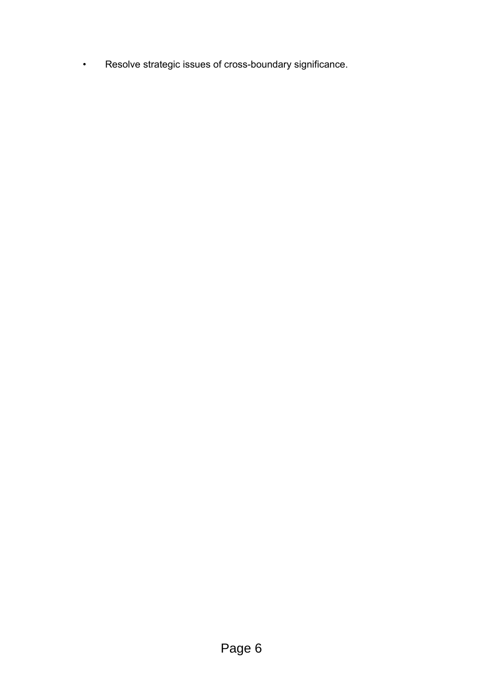• Resolve strategic issues of cross-boundary significance.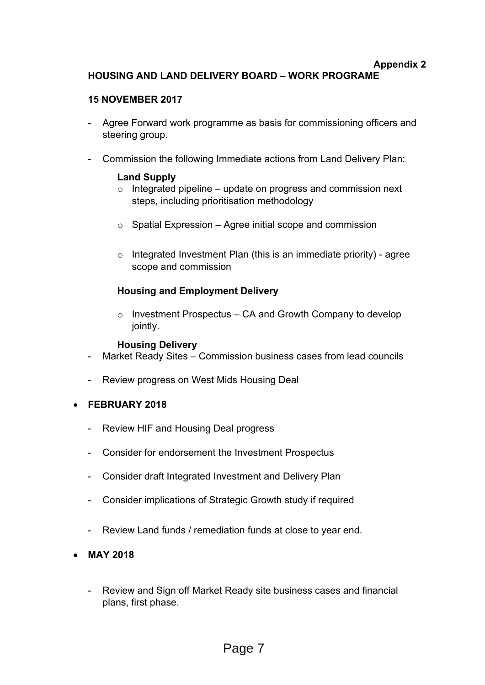#### **Appendix 2 HOUSING AND LAND DELIVERY BOARD – WORK PROGRAME**

#### **15 NOVEMBER 2017**

- Agree Forward work programme as basis for commissioning officers and steering group.
- Commission the following Immediate actions from Land Delivery Plan:

#### **Land Supply**

- $\circ$  Integrated pipeline update on progress and commission next steps, including prioritisation methodology
- $\circ$  Spatial Expression Agree initial scope and commission
- $\circ$  Integrated Investment Plan (this is an immediate priority) agree scope and commission

#### **Housing and Employment Delivery**

 $\circ$  Investment Prospectus – CA and Growth Company to develop jointly.

#### **Housing Delivery**

- Market Ready Sites Commission business cases from lead councils
- Review progress on West Mids Housing Deal
- **FEBRUARY 2018**
	- Review HIF and Housing Deal progress
	- Consider for endorsement the Investment Prospectus
	- Consider draft Integrated Investment and Delivery Plan
	- Consider implications of Strategic Growth study if required
	- Review Land funds / remediation funds at close to year end.
- **MAY 2018**
	- Review and Sign off Market Ready site business cases and financial plans, first phase.